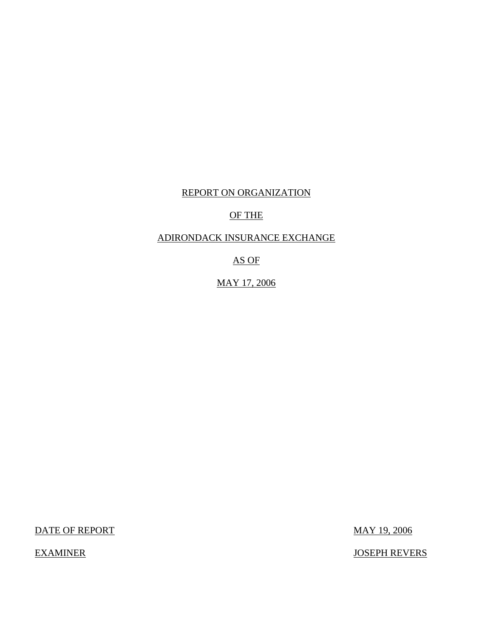# REPORT ON ORGANIZATION

# OF THE

### ADIRONDACK INSURANCE EXCHANGE

AS OF

MAY 17, 2006

DATE OF REPORT MAY 19, 2006

EXAMINER JOSEPH REVERS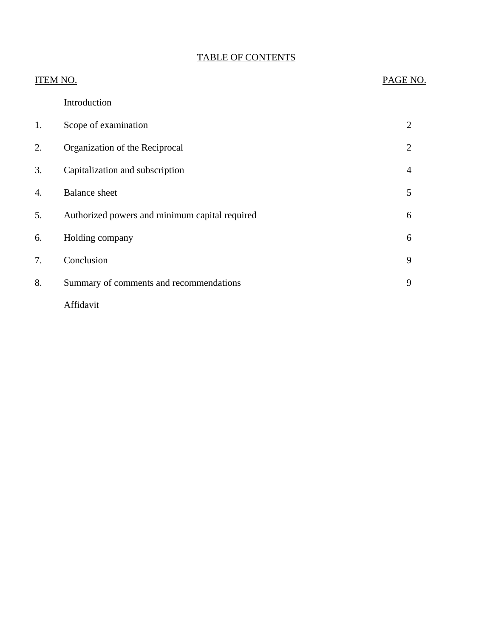# TABLE OF CONTENTS

| ITEM NO. |                                                | PAGE NO.       |
|----------|------------------------------------------------|----------------|
|          | Introduction                                   |                |
| 1.       | Scope of examination                           | $\overline{2}$ |
| 2.       | Organization of the Reciprocal                 | $\overline{2}$ |
| 3.       | Capitalization and subscription                | 4              |
| 4.       | <b>Balance</b> sheet                           | 5              |
| 5.       | Authorized powers and minimum capital required | 6              |
| 6.       | Holding company                                | 6              |
| 7.       | Conclusion                                     | 9              |
| 8.       | Summary of comments and recommendations        | 9              |
|          | Affidavit                                      |                |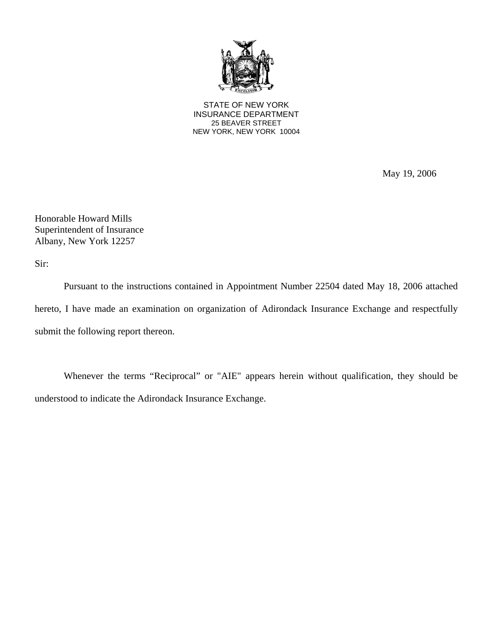

STATE OF NEW YORK INSURANCE DEPARTMENT 25 BEAVER STREET NEW YORK, NEW YORK 10004

May 19, 2006

Honorable Howard Mills Superintendent of Insurance Albany, New York 12257

Sir:

Pursuant to the instructions contained in Appointment Number 22504 dated May 18, 2006 attached hereto, I have made an examination on organization of Adirondack Insurance Exchange and respectfully submit the following report thereon.

Whenever the terms "Reciprocal" or "AIE" appears herein without qualification, they should be understood to indicate the Adirondack Insurance Exchange.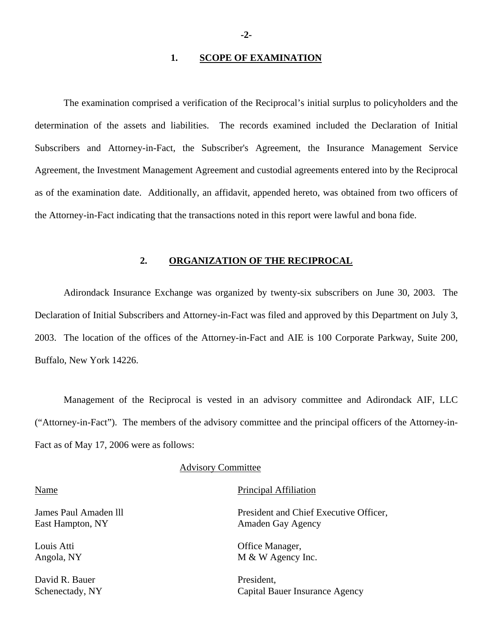### **1. SCOPE OF EXAMINATION**

The examination comprised a verification of the Reciprocal's initial surplus to policyholders and the determination of the assets and liabilities. The records examined included the Declaration of Initial Subscribers and Attorney-in-Fact, the Subscriber's Agreement, the Insurance Management Service Agreement, the Investment Management Agreement and custodial agreements entered into by the Reciprocal as of the examination date. Additionally, an affidavit, appended hereto, was obtained from two officers of the Attorney-in-Fact indicating that the transactions noted in this report were lawful and bona fide.

#### **2. ORGANIZATION OF THE RECIPROCAL**

Adirondack Insurance Exchange was organized by twenty-six subscribers on June 30, 2003. The Declaration of Initial Subscribers and Attorney-in-Fact was filed and approved by this Department on July 3, 2003. The location of the offices of the Attorney-in-Fact and AIE is 100 Corporate Parkway, Suite 200, Buffalo, New York 14226.

Management of the Reciprocal is vested in an advisory committee and Adirondack AIF, LLC ("Attorney-in-Fact"). The members of the advisory committee and the principal officers of the Attorney-in-Fact as of May 17, 2006 were as follows:

#### Advisory Committee

East Hampton, NY Amaden Gay Agency

David R. Bauer President,

#### Name Principal Affiliation

James Paul Amaden lll President and Chief Executive Officer,

Louis Atti **Community** Office Manager, Angola, NY M & W Agency Inc.

Schenectady, NY Capital Bauer Insurance Agency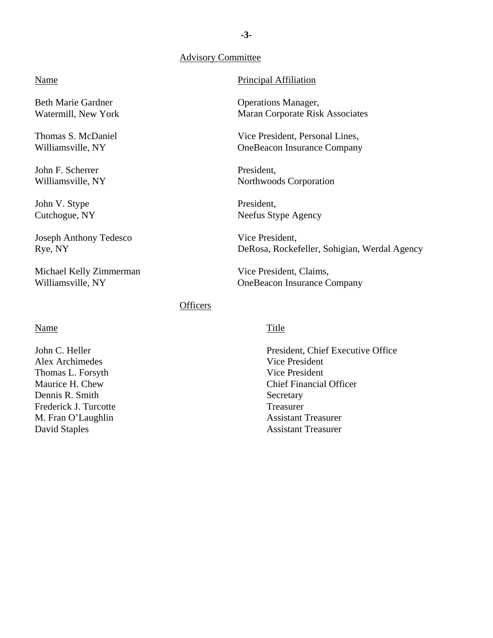### Advisory Committee

### Principal Affiliation

 Operations Manager, Maran Corporate Risk Associates

Vice President, Personal Lines, OneBeacon Insurance Company

President, Northwoods Corporation

President, Neefus Stype Agency

 Vice President, DeRosa, Rockefeller, Sohigian, Werdal Agency

Vice President, Claims, OneBeacon Insurance Company

### **Officers**

### Name

Name

Beth Marie Gardner Watermill, New York

Thomas S. McDaniel Williamsville, NY

Joseph Anthony Tedesco

Michael Kelly Zimmerman

Williamsville, NY

John F. Scherrer Williamsville, NY

John V. Stype Cutchogue, NY

Rye, NY

John C. Heller Alex Archimedes Thomas L. Forsyth Maurice H. Chew Dennis R. Smith Frederick J. Turcotte M. Fran O'Laughlin David Staples

### **Title**

President, Chief Executive Office Vice President Vice President Chief Financial Officer **Secretary** Treasurer Assistant Treasurer Assistant Treasurer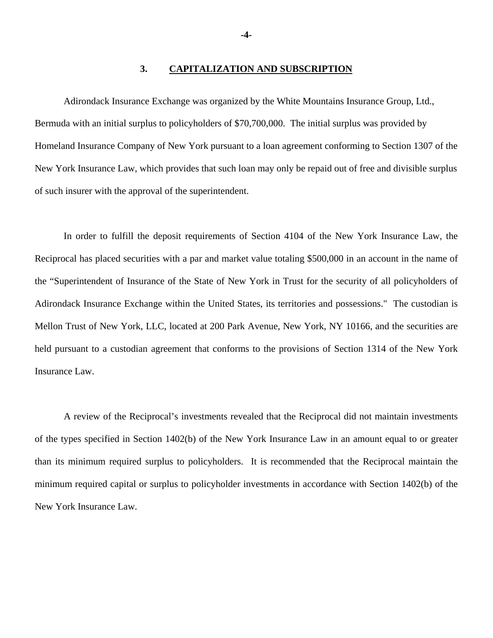### **3. CAPITALIZATION AND SUBSCRIPTION**

Adirondack Insurance Exchange was organized by the White Mountains Insurance Group, Ltd., Bermuda with an initial surplus to policyholders of \$70,700,000. The initial surplus was provided by Homeland Insurance Company of New York pursuant to a loan agreement conforming to Section 1307 of the New York Insurance Law, which provides that such loan may only be repaid out of free and divisible surplus of such insurer with the approval of the superintendent.

In order to fulfill the deposit requirements of Section 4104 of the New York Insurance Law, the Reciprocal has placed securities with a par and market value totaling \$500,000 in an account in the name of the "Superintendent of Insurance of the State of New York in Trust for the security of all policyholders of Adirondack Insurance Exchange within the United States, its territories and possessions." The custodian is Mellon Trust of New York, LLC, located at 200 Park Avenue, New York, NY 10166, and the securities are held pursuant to a custodian agreement that conforms to the provisions of Section 1314 of the New York Insurance Law.

A review of the Reciprocal's investments revealed that the Reciprocal did not maintain investments of the types specified in Section 1402(b) of the New York Insurance Law in an amount equal to or greater than its minimum required surplus to policyholders. It is recommended that the Reciprocal maintain the minimum required capital or surplus to policyholder investments in accordance with Section 1402(b) of the New York Insurance Law.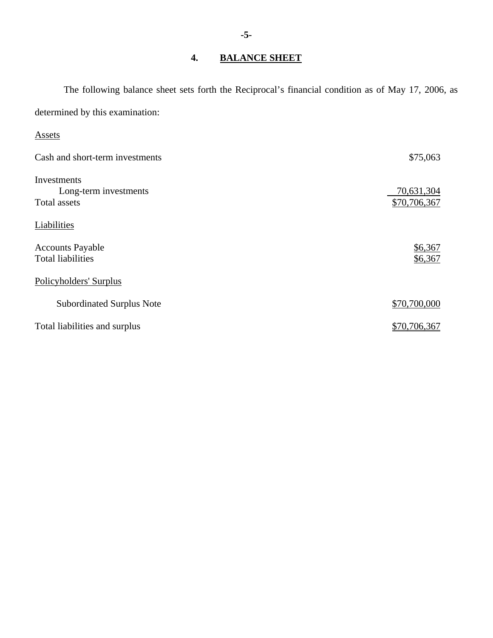# **4. BALANCE SHEET**

The following balance sheet sets forth the Reciprocal's financial condition as of May 17, 2006, as determined by this examination:

### Assets

| Cash and short-term investments                      | \$75,063                   |
|------------------------------------------------------|----------------------------|
| Investments<br>Long-term investments<br>Total assets | 70,631,304<br>\$70,706,367 |
| Liabilities                                          |                            |
| <b>Accounts Payable</b><br><b>Total liabilities</b>  | \$6,367<br>\$6,367         |
| Policyholders' Surplus                               |                            |
| <b>Subordinated Surplus Note</b>                     | \$70,700,000               |
| Total liabilities and surplus                        | \$70,706,367               |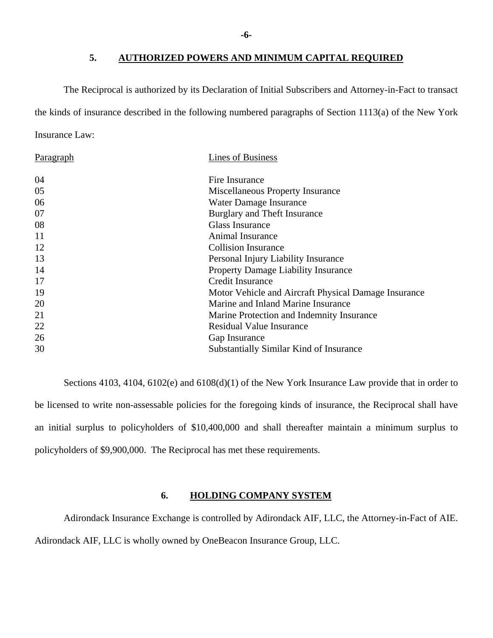### **5. AUTHORIZED POWERS AND MINIMUM CAPITAL REQUIRED**

The Reciprocal is authorized by its Declaration of Initial Subscribers and Attorney-in-Fact to transact the kinds of insurance described in the following numbered paragraphs of Section 1113(a) of the New York Insurance Law:

| Paragraph | <b>Lines of Business</b>                             |
|-----------|------------------------------------------------------|
| 04        | Fire Insurance                                       |
| 05        | Miscellaneous Property Insurance                     |
| 06        | Water Damage Insurance                               |
| 07        | Burglary and Theft Insurance                         |
| 08        | <b>Glass Insurance</b>                               |
| 11        | Animal Insurance                                     |
| 12        | <b>Collision Insurance</b>                           |
| 13        | Personal Injury Liability Insurance                  |
| 14        | <b>Property Damage Liability Insurance</b>           |
| 17        | <b>Credit Insurance</b>                              |
| 19        | Motor Vehicle and Aircraft Physical Damage Insurance |
| 20        | Marine and Inland Marine Insurance                   |
| 21        | Marine Protection and Indemnity Insurance            |
| 22        | <b>Residual Value Insurance</b>                      |
| 26        | Gap Insurance                                        |
| 30        | <b>Substantially Similar Kind of Insurance</b>       |

Sections 4103, 4104, 6102(e) and 6108(d)(1) of the New York Insurance Law provide that in order to be licensed to write non-assessable policies for the foregoing kinds of insurance, the Reciprocal shall have an initial surplus to policyholders of \$10,400,000 and shall thereafter maintain a minimum surplus to policyholders of \$9,900,000. The Reciprocal has met these requirements.

### **6. HOLDING COMPANY SYSTEM**

Adirondack Insurance Exchange is controlled by Adirondack AIF, LLC, the Attorney-in-Fact of AIE. Adirondack AIF, LLC is wholly owned by OneBeacon Insurance Group, LLC.

**-6-**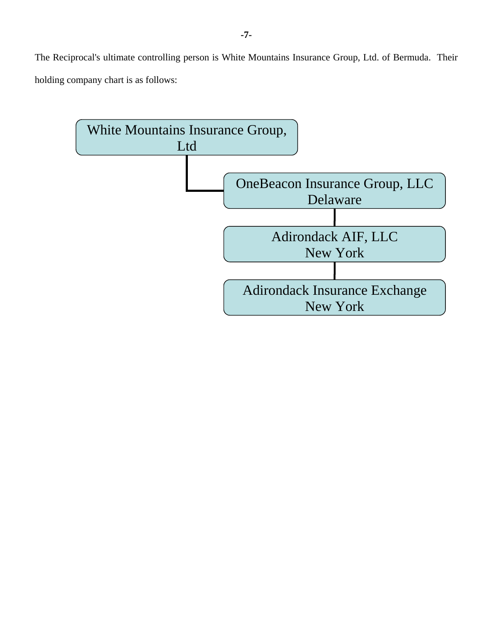The Reciprocal's ultimate controlling person is White Mountains Insurance Group, Ltd. of Bermuda. Their holding company chart is as follows:

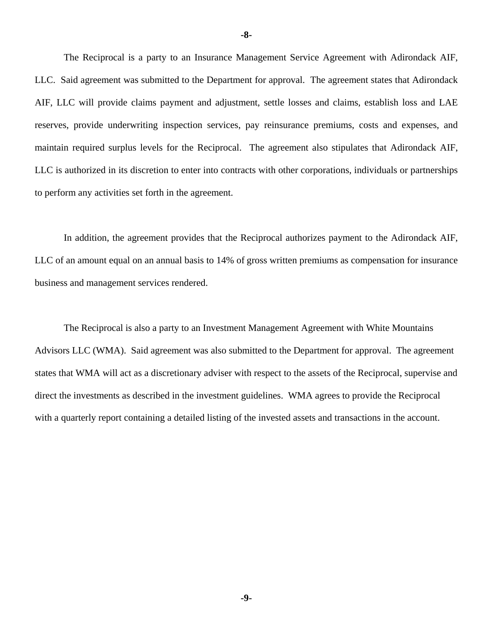The Reciprocal is a party to an Insurance Management Service Agreement with Adirondack AIF, LLC. Said agreement was submitted to the Department for approval. The agreement states that Adirondack AIF, LLC will provide claims payment and adjustment, settle losses and claims, establish loss and LAE reserves, provide underwriting inspection services, pay reinsurance premiums, costs and expenses, and maintain required surplus levels for the Reciprocal. The agreement also stipulates that Adirondack AIF, LLC is authorized in its discretion to enter into contracts with other corporations, individuals or partnerships to perform any activities set forth in the agreement.

In addition, the agreement provides that the Reciprocal authorizes payment to the Adirondack AIF, LLC of an amount equal on an annual basis to 14% of gross written premiums as compensation for insurance business and management services rendered.

The Reciprocal is also a party to an Investment Management Agreement with White Mountains Advisors LLC (WMA). Said agreement was also submitted to the Department for approval. The agreement states that WMA will act as a discretionary adviser with respect to the assets of the Reciprocal, supervise and direct the investments as described in the investment guidelines. WMA agrees to provide the Reciprocal with a quarterly report containing a detailed listing of the invested assets and transactions in the account.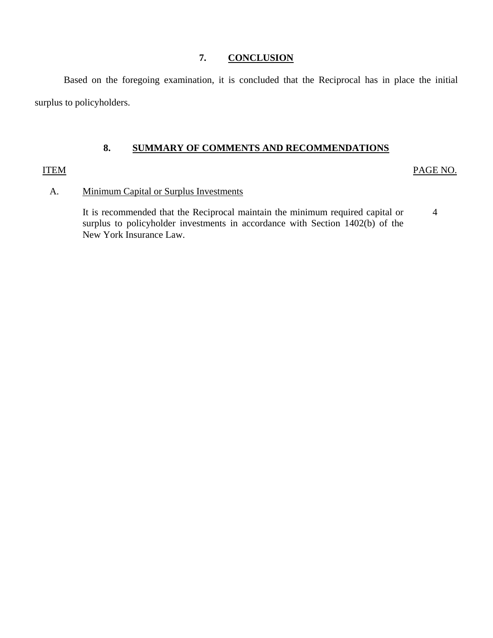### **7. CONCLUSION**

Based on the foregoing examination, it is concluded that the Reciprocal has in place the initial surplus to policyholders.

### **8. SUMMARY OF COMMENTS AND RECOMMENDATIONS**

### **ITEM**

PAGE NO.

### A. Minimum Capital or Surplus Investments

It is recommended that the Reciprocal maintain the minimum required capital or surplus to policyholder investments in accordance with Section 1402(b) of the New York Insurance Law. 4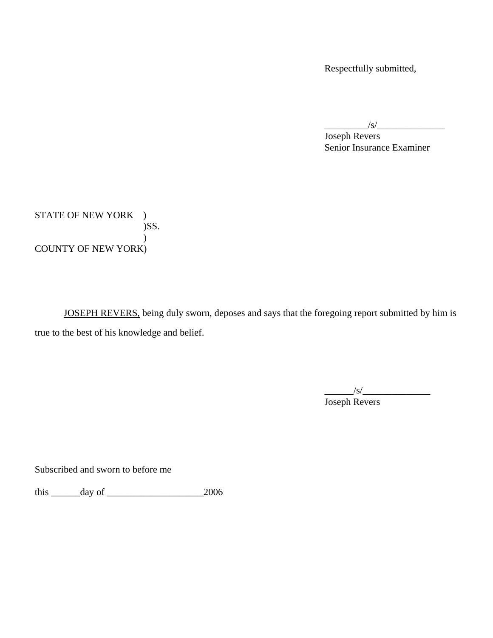Respectfully submitted,

 $\frac{1}{s}$ 

 Joseph Revers Senior Insurance Examiner

STATE OF NEW YORK ) )SS.  $\mathcal{L}$ COUNTY OF NEW YORK)

 JOSEPH REVERS, being duly sworn, deposes and says that the foregoing report submitted by him is true to the best of his knowledge and belief.

\_\_\_\_\_\_/s/\_\_\_\_\_\_\_\_\_\_\_\_\_\_ Joseph Revers

Subscribed and sworn to before me

this \_\_\_\_\_\_day of \_\_\_\_\_\_\_\_\_\_\_\_\_\_\_\_\_\_\_\_2006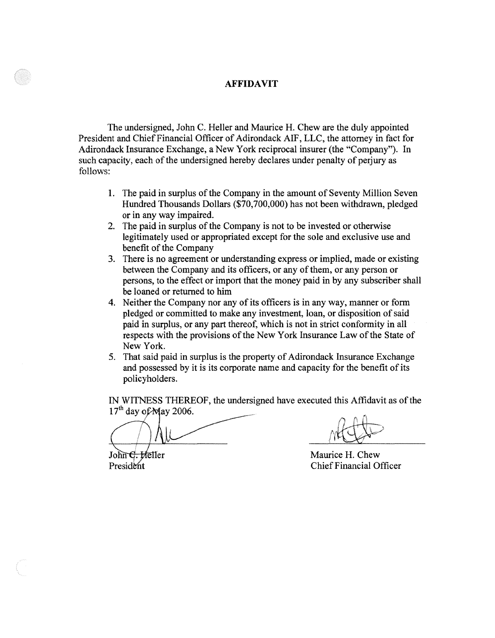#### **AFFIDAVIT**

The undersigned, John C. Heller and Maurice H. Chew are the duly appointed President and Chief Financial Officer of Adirondack AIF, LLC, the attorney in fact for Adirondack Insurance Exchange, a New York reciprocal insurer (the "Company"). In such capacity, each of the undersigned hereby declares under penalty of perjury as follows:

- 1. The paid in surplus of the Company in the amount of Seventy Million Seven Hundred Thousands Dollars (\$70,700,000) has not been withdrawn, pledged or in any way impaired.
- 2. The paid in surplus of the Company is not to be invested or otherwise legitimately used or appropriated except for the sole and exclusive use and benefit of the Company
- 3. There is no agreement or understanding express or implied, made or existing between the Company and its officers, or any of them, or any person or persons, to the effect or import that the money paid in by any subscriber shall be loaned or returned to him
- 4. Neither the Company nor any of its officers is in any way, manner or form pledged or committed to make any investment, loan, or disposition of said paid in surplus, or any part thereof, which is not in strict conformity in all respects with the provisions of the New York Insurance Law of the State of New York.
- 5. That said paid in surplus is the property of Adirondack Insurance Exchange and possessed by it is its corporate name and capacity for the benefit of its policyholders.

IN WITNESS THEREOF, the undersigned have executed this Affidavit as of the 17<sup>th</sup> day of May 2006.<br>
The strategy of the strategy of the strategy of the strategy of the strategy of the strategy of the strategy of the strat  $\lambda$ <sup>'</sup>  $17<sup>th</sup>$  day of May 2006.

 $\sqrt{2000}$ .

 $John<sub>f</sub>$ President

Maurice H. Chew Chief Financial Officer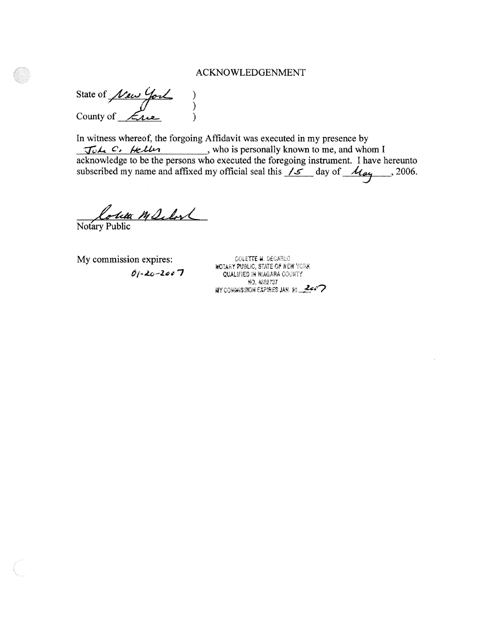### ACKNOWLEDGENMENT

State of  $\frac{\sqrt{2}}{\sqrt{2}}$  ) County of  $\mathcal{L}_{\text{rel}}$  )

In witness whereof, the forgoing Affidavit was executed in my presence by *Joh C*, *Hellen* , who is personally known to me, and whom I acknowledge to be the persons who executed the foregoing instrument. I have hereunto subscribed my name and affixed my official seal this  $\frac{1}{\epsilon}$  day of  $\frac{1}{\epsilon}$ , 2006.

<u>Coluta M Selon</u>

My commission expires: COLETTE M. DECARLO

**KOTARY PUBLIC, STATE OF NEW YORK 0/-20-2007 CUALIFIED IN NIAGARA COUNTY** NO. 4882737 NY COMMISSION EXPIRES JAN. 20 **Zee<sup>o</sup>**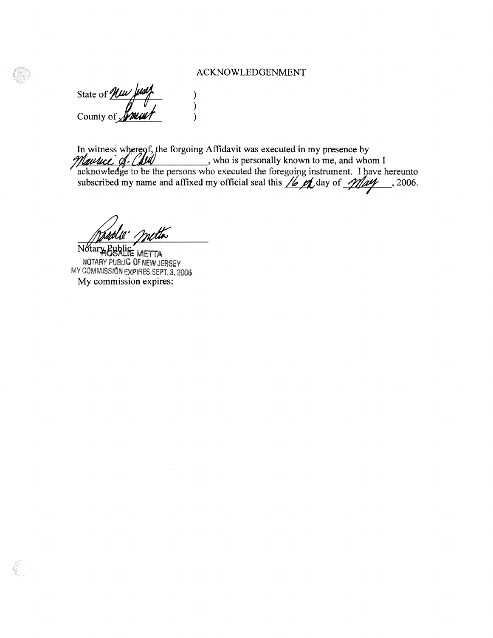### ACKNOWLEDGENMENT

State of *Nuw Just* (1) County of **Syncure**  $\frac{1}{2}$ 

e forgoing Affidavit was executed in my presence by , who is personally known to me, and whom I acknowledge to be the persons who executed the foregoing instrument. I have hereunto subscribed my name and affixed my official seal this  $\frac{1}{2}$  day of  $\frac{1}{2}$   $\frac{1}{2}$ , 2006. In witness whereof, ·

)<br>)<br>)

Notary Bublic METTA NOTARY PUBLIC OF NEW JERSEY MY COMMISSION EXPIRES SEPT 3, **2000**  My commission expires: